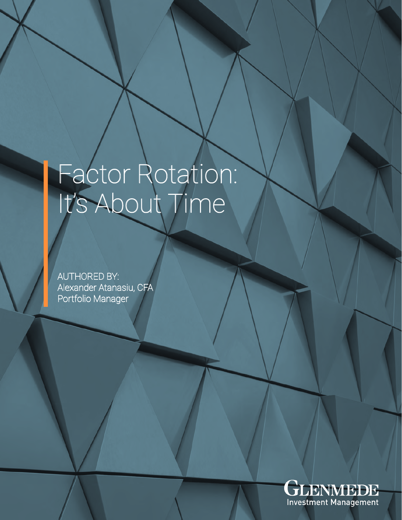# Factor Rotation: It's About Time

AUTHORED BY: Alexander Atanasiu, CFA Portfolio Manager

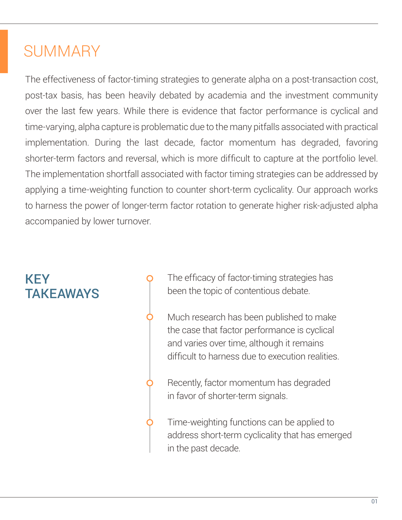## **SUMMARY**

The effectiveness of factor-timing strategies to generate alpha on a post-transaction cost, post-tax basis, has been heavily debated by academia and the investment community over the last few years. While there is evidence that factor performance is cyclical and time-varying, alpha capture is problematic due to the many pitfalls associated with practical implementation. During the last decade, factor momentum has degraded, favoring shorter-term factors and reversal, which is more difficult to capture at the portfolio level. The implementation shortfall associated with factor timing strategies can be addressed by applying a time-weighting function to counter short-term cyclicality. Our approach works to harness the power of longer-term factor rotation to generate higher risk-adjusted alpha accompanied by lower turnover.

## KEY **TAKFAWAYS**

The efficacy of factor-timing strategies has been the topic of contentious debate.

Much research has been published to make the case that factor performance is cyclical and varies over time, although it remains difficult to harness due to execution realities.

Recently, factor momentum has degraded in favor of shorter-term signals.

Time-weighting functions can be applied to address short-term cyclicality that has emerged in the past decade.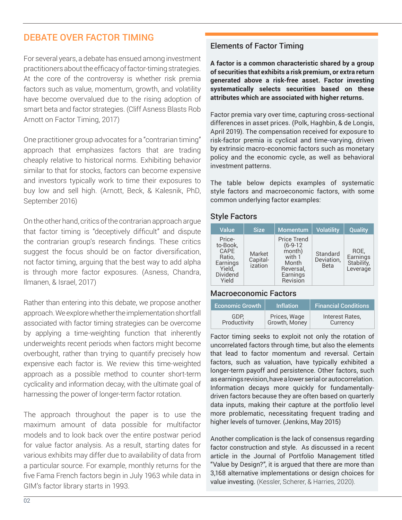## DEBATE OVER FACTOR TIMING

For several years, a debate has ensued among investment practitioners about the efficacy of factor-timing strategies. At the core of the controversy is whether risk premia factors such as value, momentum, growth, and volatility have become overvalued due to the rising adoption of smart beta and factor strategies. (Cliff Asness Blasts Rob Arnott on Factor Timing, 2017)

One practitioner group advocates for a "contrarian timing" approach that emphasizes factors that are trading cheaply relative to historical norms. Exhibiting behavior similar to that for stocks, factors can become expensive and investors typically work to time their exposures to buy low and sell high. (Arnott, Beck, & Kalesnik, PhD, September 2016)

On the other hand, critics of the contrarian approach argue that factor timing is "deceptively difficult" and dispute the contrarian group's research findings. These critics suggest the focus should be on factor diversification, not factor timing, arguing that the best way to add alpha is through more factor exposures. (Asness, Chandra, Ilmanen, & Israel, 2017)

Rather than entering into this debate, we propose another approach. We explore whether the implementation shortfall associated with factor timing strategies can be overcome by applying a time-weighting function that inherently underweights recent periods when factors might become overbought, rather than trying to quantify precisely how expensive each factor is. We review this time-weighted approach as a possible method to counter short-term cyclicality and information decay, with the ultimate goal of harnessing the power of longer-term factor rotation.

The approach throughout the paper is to use the maximum amount of data possible for multifactor models and to look back over the entire postwar period for value factor analysis. As a result, starting dates for various exhibits may differ due to availability of data from a particular source. For example, monthly returns for the five Fama French factors begin in July 1963 while data in GIM's factor library starts in 1993.

## Elements of Factor Timing

**A factor is a common characteristic shared by a group of securities that exhibits a risk premium, or extra return generated above a risk-free asset. Factor investing systematically selects securities based on these attributes which are associated with higher returns.** 

Factor premia vary over time, capturing cross-sectional differences in asset prices. (Polk, Haghbin, & de Longis, April 2019). The compensation received for exposure to risk-factor premia is cyclical and time-varying, driven by extrinsic macro-economic factors such as monetary policy and the economic cycle, as well as behavioral investment patterns.

The table below depicts examples of systematic style factors and macroeconomic factors, with some common underlying factor examples:

## Style Factors

| Value                                                                                  | <b>Size</b>                   | <b>Momentum</b>                                                                             | <b>Volatility</b>                     | Quality                                    |
|----------------------------------------------------------------------------------------|-------------------------------|---------------------------------------------------------------------------------------------|---------------------------------------|--------------------------------------------|
| Price-<br>to-Book,<br>CAPE<br>Ratio,<br>Earnings<br>Yield,<br><b>Dividend</b><br>Yield | Market<br>Capital-<br>ization | Price Trend<br>$(6-9-12)$<br>month)<br>with 1<br>Month<br>Reversal,<br>Earnings<br>Revision | Standard<br>Deviation,<br><b>Beta</b> | ROE,<br>Earnings<br>Stability,<br>Leverage |

## Macroeconomic Factors

| <b>Economic Growth</b> | <b>Inflation</b>              | <b>Financial Conditions</b> |
|------------------------|-------------------------------|-----------------------------|
| GDP.<br>Productivity   | Prices, Wage<br>Growth, Money | Interest Rates.<br>Currency |

Factor timing seeks to exploit not only the rotation of uncorrelated factors through time, but also the elements that lead to factor momentum and reversal. Certain factors, such as valuation, have typically exhibited a longer-term payoff and persistence. Other factors, such as earnings revision, have a lower serial or autocorrelation. Information decays more quickly for fundamentallydriven factors because they are often based on quarterly data inputs, making their capture at the portfolio level more problematic, necessitating frequent trading and higher levels of turnover. (Jenkins, May 2015)

Another complication is the lack of consensus regarding factor construction and style. As discussed in a recent article in the Journal of Portfolio Management titled "Value by Design?", it is argued that there are more than 3,168 alternative implementations or design choices for value investing. (Kessler, Scherer, & Harries, 2020).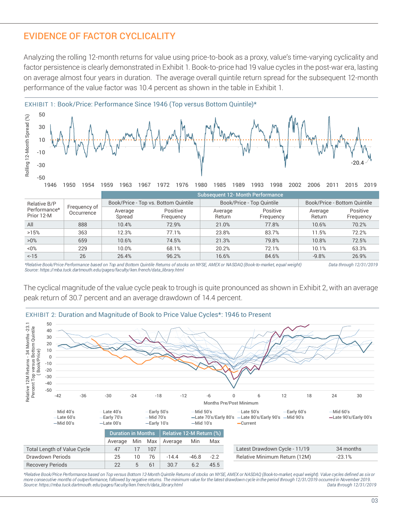## EVIDENCE OF FACTOR CYCLICALITY

Analyzing the rolling 12-month returns for value using price-to-book as a proxy, value's time-varying cyclicality and factor persistence is clearly demonstrated in Exhibit 1. Book-to-price had 19 value cycles in the post-war era, lasting on average almost four years in duration. The average overall quintile return spread for the subsequent 12-month performance of the value factor was 10.4 percent as shown in the table in Exhibit 1.



|                                          |              | <b>Subsequent 12- Month Performance</b> |                                      |                   |                           |                              |                       |  |
|------------------------------------------|--------------|-----------------------------------------|--------------------------------------|-------------------|---------------------------|------------------------------|-----------------------|--|
| Relative B/P                             | Frequency of |                                         | Book/Price - Top vs. Bottom Quintile |                   | Book/Price - Top Quintile | Book/Price - Bottom Quintile |                       |  |
| Performance*<br>Occurrence<br>Prior 12-M |              | Average<br>Spread                       | Positive<br>Frequency                | Average<br>Return | Positive<br>Frequency     | Average<br>Return            | Positive<br>Frequency |  |
| All                                      | 888          | 10.4%                                   | 72.9%                                | 21.0%             | 77.8%                     | 10.6%                        | 70.2%                 |  |
| >15%                                     | 363          | 12.3%                                   | 77.1%                                | 23.8%             | 83.7%                     | 11.5%                        | 72.2%                 |  |
| $>0\%$                                   | 659          | 10.6%                                   | 74.5%                                | 21.3%             | 79.8%                     | 10.8%                        | 72.5%                 |  |
| $< 0\%$                                  | 229          | 10.0%                                   | 68.1%                                | 20.2%             | 72.1%                     | 10.1%                        | 63.3%                 |  |
| $< -15$                                  | 26           | 26.4%                                   | 96.2%                                | 16.6%             | 84.6%                     | $-9.8%$                      | 26.9%                 |  |

*\*Relative Book/Price Performance based on Top and Bottom Quintile Returns of stocks on NYSE, AMEX or NASDAQ (Book-to-market, equal weight) Data through 12/31/2019 Source: https://mba.tuck.dartmouth.edu/pages/faculty/ken.french/data\_library.html* 

The cyclical magnitude of the value cycle peak to trough is quite pronounced as shown in Exhibit 2, with an average peak return of 30.7 percent and an average drawdown of 14.4 percent.



*\*Relative Book/Price Performance based on Top versus Bottom 12-Month Quintile Returns of stocks on NYSE, AMEX or NASDAQ (Book-to-market, equal weight). Value cycles defined as six or*  more consecutive months of outperformance, followed by negative returns. The minimum value for the latest drawdown cycle in the period through 12/31/2019 occurred in November 2019. Into the period of the latest period in N *Source: https://mba.tuck.dartmouth.edu/pages/faculty/ken.french/data\_library.html Data through 12/31/2019*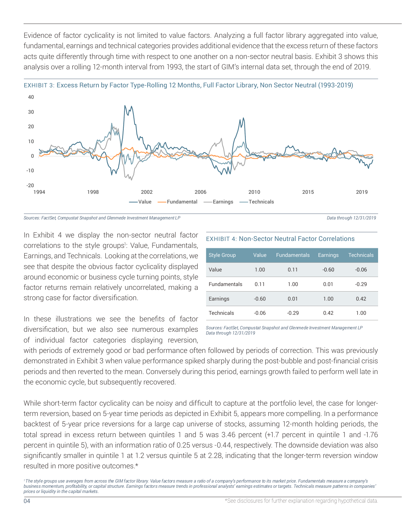Evidence of factor cyclicality is not limited to value factors. Analyzing a full factor library aggregated into value, fundamental, earnings and technical categories provides additional evidence that the excess return of these factors acts quite differently through time with respect to one another on a non-sector neutral basis. Exhibit 3 shows this analysis over a rolling 12-month interval from 1993, the start of GIM's internal data set, through the end of 2019.





*Sources: FactSet, Compustat Snapshot and Glenmede Investment Management LP Data through 12/31/2019*

In Exhibit 4 we display the non-sector neutral factor correlations to the style groups<sup>1</sup>: Value, Fundamentals, Earnings, and Technicals. Looking at the correlations, we see that despite the obvious factor cyclicality displayed around economic or business cycle turning points, style factor returns remain relatively uncorrelated, making a strong case for factor diversification.

In these illustrations we see the benefits of factor diversification, but we also see numerous examples of individual factor categories displaying reversion,

## EXHIBIT 4: Non-Sector Neutral Factor Correlations

| <b>Style Group</b>  | Value   | <b>Fundamentals</b> | Earnings | <b>Technicals</b> |
|---------------------|---------|---------------------|----------|-------------------|
| Value               | 1.00    | 0.11                | $-0.60$  | $-0.06$           |
| <b>Fundamentals</b> | 0.11    | 1.00                | 0.01     | $-0.29$           |
| Earnings            | $-0.60$ | 0.01                | 1.00     | 0.42              |
| Technicals          | $-0.06$ | $-0.29$             | 0.42     | 1.00              |

*Sources: FactSet, Compustat Snapshot and Glenmede Investment Management LP Data through 12/31/2019*

with periods of extremely good or bad performance often followed by periods of correction. This was previously demonstrated in Exhibit 3 when value performance spiked sharply during the post-bubble and post-financial crisis periods and then reverted to the mean. Conversely during this period, earnings growth failed to perform well late in the economic cycle, but subsequently recovered.

While short-term factor cyclicality can be noisy and difficult to capture at the portfolio level, the case for longerterm reversion, based on 5-year time periods as depicted in Exhibit 5, appears more compelling. In a performance backtest of 5-year price reversions for a large cap universe of stocks, assuming 12-month holding periods, the total spread in excess return between quintiles 1 and 5 was 3.46 percent (+1.7 percent in quintile 1 and -1.76 percent in quintile 5), with an information ratio of 0.25 versus -0.44, respectively. The downside deviation was also significantly smaller in quintile 1 at 1.2 versus quintile 5 at 2.28, indicating that the longer-term reversion window resulted in more positive outcomes.\*

*<sup>1</sup> The style groups use averages from across the GIM factor library. Value factors measure a ratio of a company's performance to its market price. Fundamentals measure a company's business momentum, profitability, or capital structure. Earnings factors measure trends in professional analysts' earnings estimates or targets. Technicals measure patterns in companies' prices or liquidity in the capital markets.*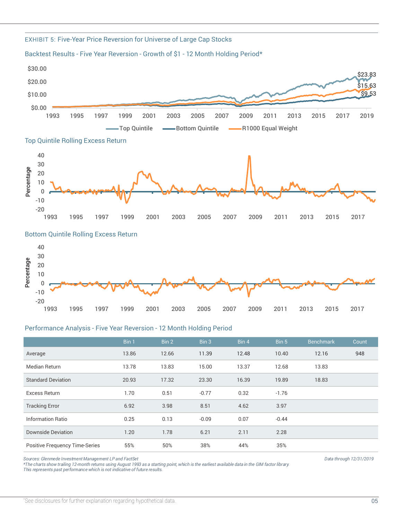

#### EXHIBIT 5: Five-Year Price Reversion for Universe of Large Cap Stocks

Backtest Results - Five Year Reversion - Growth of \$1 - 12 Month Holding Period\*

#### Performance Analysis - Five Year Reversion - 12 Month Holding Period

|                                | Bin 1 | Bin 2 | Bin 3   | Bin 4 | Bin 5   | <b>Benchmark</b> | Count |
|--------------------------------|-------|-------|---------|-------|---------|------------------|-------|
| Average                        | 13.86 | 12.66 | 11.39   | 12.48 | 10.40   | 12.16            | 948   |
| Median Return                  | 13.78 | 13.83 | 15.00   | 13.37 | 12.68   | 13.83            |       |
| <b>Standard Deviation</b>      | 20.93 | 17.32 | 23.30   | 16.39 | 19.89   | 18.83            |       |
| Excess Return                  | 1.70  | 0.51  | $-0.77$ | 0.32  | $-1.76$ |                  |       |
| <b>Tracking Error</b>          | 6.92  | 3.98  | 8.51    | 4.62  | 3.97    |                  |       |
| Information Ratio              | 0.25  | 0.13  | $-0.09$ | 0.07  | $-0.44$ |                  |       |
| <b>Downside Deviation</b>      | 1.20  | 1.78  | 6.21    | 2.11  | 2.28    |                  |       |
| Positive Frequency Time-Series | 55%   | 50%   | 38%     | 44%   | 35%     |                  |       |

Sources: Glenmede Investment Management LP and FactSet and SactSet Data through 12/31/2019<br>\*The charts show trailing 12-month returns using August 1993 as a starting point, which is the earliest available data in the GIM f *\*The charts show trailing 12-month returns using August 1993 as a starting point, which is the earliest available data in the GIM factor library. This represents past performance which is not indicative of future results.*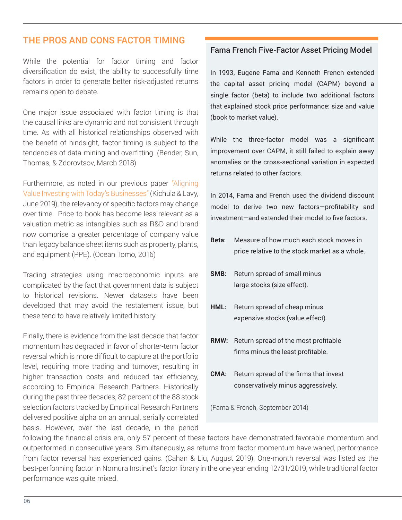## THE PROS AND CONS FACTOR TIMING

While the potential for factor timing and factor diversification do exist, the ability to successfully time factors in order to generate better risk-adjusted returns remains open to debate.

One major issue associated with factor timing is that the causal links are dynamic and not consistent through time. As with all historical relationships observed with the benefit of hindsight, factor timing is subject to the tendencies of data-mining and overfitting. (Bender, Sun, Thomas, & Zdorovtsov, March 2018)

[Furthermore, as noted in our previous paper "Aligning](https://www.glenmede.com/files/redefining-value-june-2019.pdf?1585916642) Value Investing with Today's Businesses" (Kichula & Lavy, June 2019), the relevancy of specific factors may change over time. Price-to-book has become less relevant as a valuation metric as intangibles such as R&D and brand now comprise a greater percentage of company value than legacy balance sheet items such as property, plants, and equipment (PPE). (Ocean Tomo, 2016)

Trading strategies using macroeconomic inputs are complicated by the fact that government data is subject to historical revisions. Newer datasets have been developed that may avoid the restatement issue, but these tend to have relatively limited history.

Finally, there is evidence from the last decade that factor momentum has degraded in favor of shorter-term factor reversal which is more difficult to capture at the portfolio level, requiring more trading and turnover, resulting in higher transaction costs and reduced tax efficiency, according to Empirical Research Partners. Historically during the past three decades, 82 percent of the 88 stock selection factors tracked by Empirical Research Partners delivered positive alpha on an annual, serially correlated basis. However, over the last decade, in the period

## Fama French Five-Factor Asset Pricing Model

In 1993, Eugene Fama and Kenneth French extended the capital asset pricing model (CAPM) beyond a single factor (beta) to include two additional factors that explained stock price performance: size and value (book to market value).

While the three-factor model was a significant improvement over CAPM, it still failed to explain away anomalies or the cross-sectional variation in expected returns related to other factors.

In 2014, Fama and French used the dividend discount model to derive two new factors—profitability and investment—and extended their model to five factors.

- **Beta**: Measure of how much each stock moves in price relative to the stock market as a whole.
- **SMB:** Return spread of small minus large stocks (size effect).
- HML: Return spread of cheap minus expensive stocks (value effect).
- **RMW:** Return spread of the most profitable firms minus the least profitable.
- **CMA:** Return spread of the firms that invest conservatively minus aggressively.

(Fama & French, September 2014)

following the financial crisis era, only 57 percent of these factors have demonstrated favorable momentum and outperformed in consecutive years. Simultaneously, as returns from factor momentum have waned, performance from factor reversal has experienced gains. (Cahan & Liu, August 2019). One-month reversal was listed as the best-performing factor in Nomura Instinet's factor library in the one year ending 12/31/2019, while traditional factor performance was quite mixed.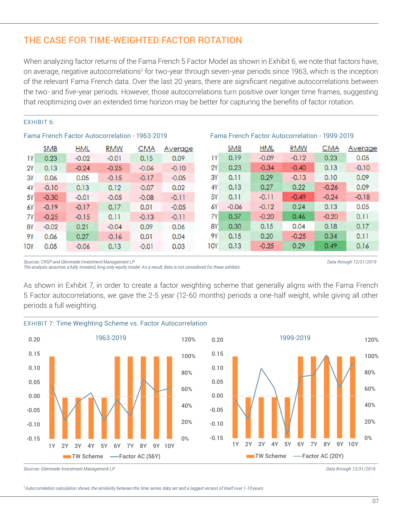## THE CASE FOR TIME-WEIGHTED FACTOR ROTATION

When analyzing factor returns of the Fama French 5 Factor Model as shown in Exhibit 6, we note that factors have, on average, negative autocorrelations<sup>2</sup> for two-year through seven-year periods since 1963, which is the inception of the relevant Fama French data. Over the last 20 years, there are significant negative autocorrelations between the two- and five-year periods. However, those autocorrelations turn positive over longer time frames, suggesting that reoptimizing over an extended time horizon may be better for capturing the benefits of factor rotation.

#### EXHIBIT 6:

|            | <b>SMB</b> | <b>HML</b> | <b>RMW</b> | <b>CMA</b> | Average |            | <b>SMB</b> | <b>HML</b> | <b>RMW</b> | <b>CMA</b> |
|------------|------------|------------|------------|------------|---------|------------|------------|------------|------------|------------|
| IY         | 0.23       | $-0.02$    | $-0.01$    | 0.15       | 0.09    | ΙY         | 0.19       | $-0.09$    | $-0.12$    | 0.23       |
| 2Y         | 0.13       | $-0.24$    | $-0.25$    | $-0.06$    | $-0.10$ | 2Y         | 0.23       | $-0.34$    | $-0.40$    | 0.13       |
| 3Y         | 0.06       | 0.05       | $-0.15$    | $-0.17$    | $-0.05$ | 3Y         | 0.11       | 0.29       | $-0.13$    | 0.10       |
| 4Y         | $-0.10$    | 0.13       | 0.12       | $-0.07$    | 0.02    | 4۲         | 0.13       | 0.27       | 0.22       | $-0.26$    |
| 5Y         | $-0.30$    | $-0.01$    | $-0.05$    | $-0.08$    | $-0.11$ | <b>5Y</b>  | 0.11       | $-0.11$    | $-0.49$    | $-0.24$    |
| 6Y         | $-0.19$    | $-0.17$    | 0.17       | 0.01       | $-0.05$ | 6Y         | $-0.06$    | $-0.12$    | 0.24       | 0.13       |
| 7Y         | $-0.25$    | $-0.15$    | 0.11       | $-0.13$    | $-0.11$ | 7Y         | 0.37       | $-0.20$    | 0.46       | $-0.20$    |
| <b>8Y</b>  | $-0.02$    | 0.21       | $-0.04$    | 0.09       | 0.06    | 8Y         | 0.30       | 0.15       | 0.04       | 0.18       |
| 9Y         | 0.06       | 0.27       | $-0.16$    | 0.01       | 0.04    | 9Υ         | 0.15       | 0.20       | $-0.25$    | 0.34       |
| <b>10Y</b> | 0.05       | $-0.06$    | 0.13       | $-0.01$    | 0.03    | <b>10Y</b> | 0.13       | $-0.25$    | 0.29       | 0.49       |

## Fama French Factor Autocorrelation - 1963-2019 Fama French Factor Autocorrelation - 1999-2019

*Sources: CRSP and Glenmede Investment Management LP Data through 12/31/2019 The analysis assumes a fully invested, long only equity model. As a result, Beta is not considered for these exhibits.*

Average  $0.05$  $-0.10$ 0.09 0.09  $-0.18$  $0.05$  $0.11$  $0.17$  $0.11$  $0.16$ 

As shown in Exhibit 7, in order to create a factor weighting scheme that generally aligns with the Fama French 5 Factor autocorrelations, we gave the 2-5 year (12-60 months) periods a one-half weight, while giving all other periods a full weighting.



*Sources: Glenmede Investment Management LP Data through 12/31/2019*

*2 Autocorrelation calculation shows the similarity between the time series data set and a lagged version of itself over 1-10 years.*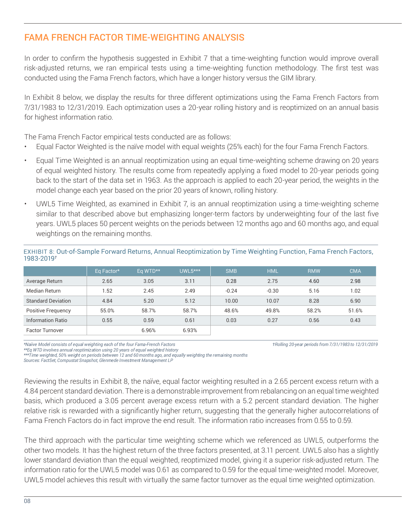## FAMA FRENCH FACTOR TIME-WEIGHTING ANALYSIS

In order to confirm the hypothesis suggested in Exhibit 7 that a time-weighting function would improve overall risk-adjusted returns, we ran empirical tests using a time-weighting function methodology. The first test was conducted using the Fama French factors, which have a longer history versus the GIM library.

In Exhibit 8 below, we display the results for three different optimizations using the Fama French Factors from 7/31/1983 to 12/31/2019. Each optimization uses a 20-year rolling history and is reoptimized on an annual basis for highest information ratio.

The Fama French Factor empirical tests conducted are as follows:

- Equal Factor Weighted is the naïve model with equal weights (25% each) for the four Fama French Factors.
- Equal Time Weighted is an annual reoptimization using an equal time-weighting scheme drawing on 20 years of equal weighted history. The results come from repeatedly applying a fixed model to 20-year periods going back to the start of the data set in 1963. As the approach is applied to each 20-year period, the weights in the model change each year based on the prior 20 years of known, rolling history.
- UWL5 Time Weighted, as examined in Exhibit 7, is an annual reoptimization using a time-weighting scheme similar to that described above but emphasizing longer-term factors by underweighting four of the last five years. UWL5 places 50 percent weights on the periods between 12 months ago and 60 months ago, and equal weightings on the remaining months.

|                           | Eq Factor* | Eq WTD** | $UWL5***$ | <b>SMB</b> | <b>HML</b> | <b>RMW</b> | <b>CMA</b> |
|---------------------------|------------|----------|-----------|------------|------------|------------|------------|
| Average Return            | 2.65       | 3.05     | 3.11      | 0.28       | 2.75       | 4.60       | 2.98       |
| Median Return             | 1.52       | 2.45     | 2.49      | $-0.24$    | $-0.30$    | 5.16       | 1.02       |
| <b>Standard Deviation</b> | 4.84       | 5.20     | 5.12      | 10.00      | 10.07      | 8.28       | 6.90       |
| Positive Frequency        | 55.0%      | 58.7%    | 58.7%     | 48.6%      | 49.8%      | 58.2%      | 51.6%      |
| Information Ratio         | 0.55       | 0.59     | 0.61      | 0.03       | 0.27       | 0.56       | 0.43       |
| <b>Factor Turnover</b>    |            | 6.96%    | 6.93%     |            |            |            |            |

EXHIBIT 8: Out-of-Sample Forward Returns, Annual Reoptimization by Time Weighting Function, Fama French Factors, 1983-2019*†*

*\*Naiive Model consists of equal weighting each of the four Fama-French Factors †Rolling 20-year periods from 7/31/1983 to 12/31/2019*

\*\*\*Time weighted, 50% weight on periods between 12 and 60 months ago, and equally weighting the remaining months *\*\*\*Time weighted, 50% weight on periods between 12 and 60 months ago, and equally weighting the remaining months*

*Sources: FactSet, Compustat Snapshot, Glenmede Investment Management LP* 

Reviewing the results in Exhibit 8, the naïve, equal factor weighting resulted in a 2.65 percent excess return with a 4.84 percent standard deviation. There is a demonstrable improvement from rebalancing on an equal time weighted basis, which produced a 3.05 percent average excess return with a 5.2 percent standard deviation. The higher relative risk is rewarded with a significantly higher return, suggesting that the generally higher autocorrelations of Fama French Factors do in fact improve the end result. The information ratio increases from 0.55 to 0.59.

The third approach with the particular time weighting scheme which we referenced as UWL5, outperforms the other two models. It has the highest return of the three factors presented, at 3.11 percent. UWL5 also has a slightly lower standard deviation than the equal weighted, reoptimized model, giving it a superior risk-adjusted return. The information ratio for the UWL5 model was 0.61 as compared to 0.59 for the equal time-weighted model. Moreover, UWL5 model achieves this result with virtually the same factor turnover as the equal time weighted optimization.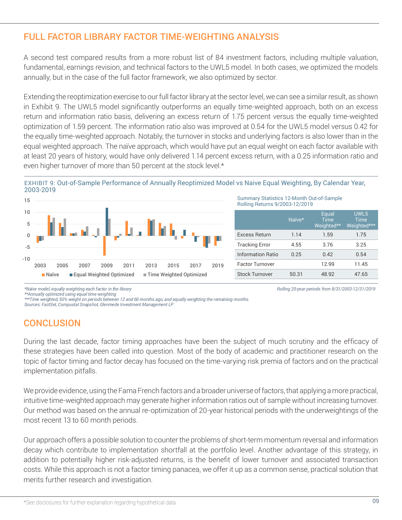## FULL FACTOR LIBRARY FACTOR TIME-WEIGHTING ANALYSIS

A second test compared results from a more robust list of 84 investment factors, including multiple valuation, fundamental, earnings revision, and technical factors to the UWL5 model. In both cases, we optimized the models annually, but in the case of the full factor framework, we also optimized by sector.

Extending the reoptimization exercise to our full factor library at the sector level, we can see a similar result, as shown in Exhibit 9. The UWL5 model significantly outperforms an equally time-weighted approach, both on an excess return and information ratio basis, delivering an excess return of 1.75 percent versus the equally time-weighted optimization of 1.59 percent. The information ratio also was improved at 0.54 for the UWL5 model versus 0.42 for the equally time-weighted approach. Notably, the turnover in stocks and underlying factors is also lower than in the equal weighted approach. The naïve approach, which would have put an equal weight on each factor available with at least 20 years of history, would have only delivered 1.14 percent excess return, with a 0.25 information ratio and even higher turnover of more than 50 percent at the stock level.\*

## EXHIBIT 9: Out-of-Sample Performance of Annually Reoptimized Model vs Naive Equal Weighting, By Calendar Year, 2003-2019



#### Summary Statistics 12-Month Out-of-Sample Rolling Returns 9/2003-12/2019

|                          | Naïve* | Equal<br><b>Time</b><br>Weighted** | UWL5<br><b>Time</b><br>Weighted*** |
|--------------------------|--------|------------------------------------|------------------------------------|
| <b>Excess Return</b>     | 1.14   | 1.59                               | 1.75                               |
| <b>Tracking Error</b>    | 4.55   | 3.76                               | 3.25                               |
| <b>Information Ratio</b> | 0.25   | 0.42                               | 0.54                               |
| <b>Factor Turnover</b>   |        | 12.99                              | 11.45                              |
| <b>Stock Turnover</b>    | 50.31  | 48.92                              | 47.65                              |

*\*Naïve model, equally weighting each factor in the library Rolling 20-year periods from 8/31/2003-12/31/2019*

\*\*\*Time weighted, 50% weight on periods between 12 and 60 months ago, and equally weighting the remaining months. *\*\*\*Time weighted, 50% weight on periods between 12 and 60 months ago, and equally weighting the remaining months.* 

*Sources: FactSet, Compustat Snapshot, Glenmede Investment Management LP* 

## **CONCLUSION**

During the last decade, factor timing approaches have been the subject of much scrutiny and the efficacy of these strategies have been called into question. Most of the body of academic and practitioner research on the topic of factor timing and factor decay has focused on the time-varying risk premia of factors and on the practical implementation pitfalls.

We provide evidence, using the Fama French factors and a broader universe of factors, that applying a more practical, intuitive time-weighted approach may generate higher information ratios out of sample without increasing turnover. Our method was based on the annual re-optimization of 20-year historical periods with the underweightings of the most recent 13 to 60 month periods.

Our approach offers a possible solution to counter the problems of short-term momentum reversal and information decay which contribute to implementation shortfall at the portfolio level. Another advantage of this strategy, in addition to potentially higher risk-adjusted returns, is the benefit of lower turnover and associated transaction costs. While this approach is not a factor timing panacea, we offer it up as a common sense, practical solution that merits further research and investigation.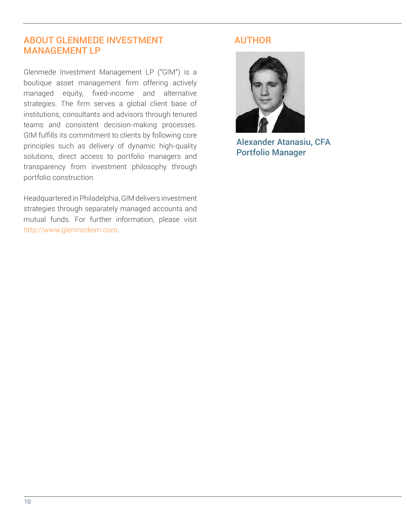## ABOUT GLENMEDE INVESTMENT MANAGEMENT LP

Glenmede Investment Management LP ("GIM") is a boutique asset management firm offering actively managed equity, fixed-income and alternative strategies. The firm serves a global client base of institutions, consultants and advisors through tenured teams and consistent decision-making processes. GIM fulfills its commitment to clients by following core principles such as delivery of dynamic high-quality solutions, direct access to portfolio managers and transparency from investment philosophy through portfolio construction.

Headquartered in Philadelphia, GIM delivers investment strategies through separately managed accounts and mutual funds. For further information, please visit http://www.glenmedeim.com.

## AUTHOR



[Alexander Atanasiu, CFA](https://www.glenmede.com/investment-management/alexander-r-atanasiu-cfa)  Portfolio Manager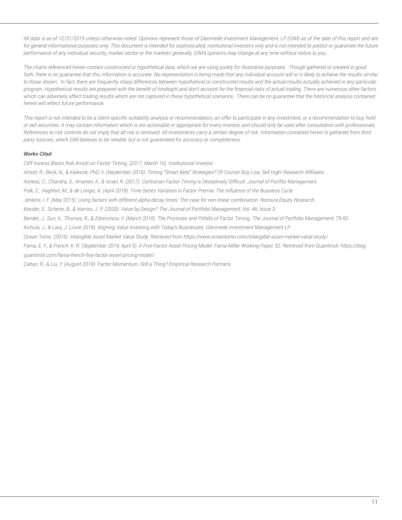*All data is as of 12/31/2019 unless otherwise noted. Opinions represent those of Glenmede Investment Management, LP (GIM) as of the date of this report and are*  for general informational purposes only. This document is intended for sophisticated, institutional investors only and is not intended to predict or guarantee the future *performance of any individual security, market sector or the markets generally. GIM's opinions may change at any time without notice to you.*

*The charts referenced herein contain constructed or hypothetical data, which we are using purely for illustrative purposes. Though gathered or created in good*  faith, there is no quarantee that this information is accurate. No representation is being made that any individual account will or is likely to achieve the results similar to those shown. In fact, there are frequently sharp differences between hypothetical or constructed results and the actual results actually achieved in any particular *program. Hypothetical results are prepared with the benefit of hindsight and don't account for the financial risks of actual trading. There are numerous other factors*  which can adversely affect trading results which are not captured in these hypothetical scenarios. There can be no quarantee that the historical analysis contained *herein will reflect future performance.*

*This report is not intended to be a client-specific suitability analysis or recommendation, an offer to participate in any investment, or a recommendation to buy, hold or sell securities. It may contain information which is not actionable or appropriate for every investor, and should only be used after consultation with professionals. References to risk controls do not imply that all risk is removed. All investments carry a certain degree of risk. Information contained herein is gathered from third party sources, which GIM believes to be reliable, but is not guaranteed for accuracy or completeness.*

#### *Works Cited*

*Cliff Asness Blasts Rob Arnott on Factor Timing. (2017, March 16). Institutional Investor.* 

*Arnott, R., Beck, N., & Kalesnik, PhD, V. (September 2016). Timing "Smart Beta" Strategies? Of Course! Buy Low, Sell High! Research Affiliates.*

*Asness, C., Chandra, S., Ilmanen, A., & Israel, R. (2017). Contrarian Factor Timing is Deceptively Difficult. Journal of Portflio Management.*

*Polk, C., Haghbin, M., & de Longis, A. (April 2019). Time-Series Variation in Factor Premia: The Influence of the Business Cycle.* 

*Jenkins, I. F. (May 2015). Using factors with different alpha decay times: The case for non-linear combination. Nomura Equity Research.*

*Kessler, S., Scherer, B., & Harries, J. P. (2020). Value by Design? The Journal of Portfolio Management, Vol. 46, Issue 3.*

*Bender, J., Sun, X., Thomas, R., & Zdorovtsov, V. (March 2018). The Promises and Pitfalls of Factor Timing. The Journal of Portfolio Management, 79-92.*

*Kichula, J., & Lavy, J. (June 2019). Aligning Value Investing with Today's Businesses. Glenmede Investment Management LP.*

*Ocean Tomo. (2016). Intangible Asset Market Value Study. Retrieved from https://www.oceantomo.com/intangible-asset-market-value-study/*

*Fama, E. F., & French, K. R. (September 2014, April 5). A Five-Factor Asset Pricing Model. Fama-Miller Working Paper, 52. Retrieved from QuantInsti: https://blog. quantinsti.com/fama-french-five-factor-asset-pricing-model/*

*Cahan, R., & Liu, Y. (August 2019). Factor Momentum: Still a Thing? Empirical Research Partners.*